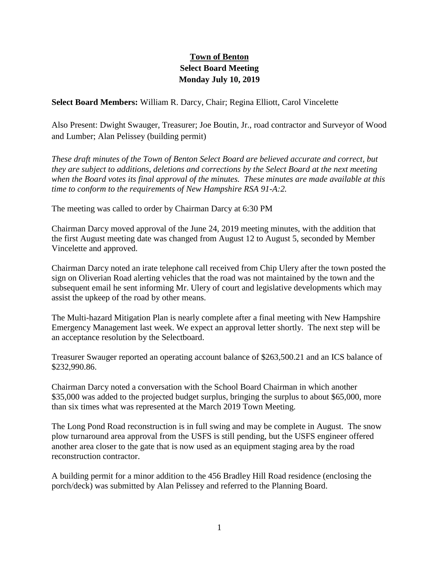## **Town of Benton Select Board Meeting Monday July 10, 2019**

**Select Board Members:** William R. Darcy, Chair; Regina Elliott, Carol Vincelette

Also Present: Dwight Swauger, Treasurer; Joe Boutin, Jr., road contractor and Surveyor of Wood and Lumber; Alan Pelissey (building permit)

*These draft minutes of the Town of Benton Select Board are believed accurate and correct, but they are subject to additions, deletions and corrections by the Select Board at the next meeting when the Board votes its final approval of the minutes. These minutes are made available at this time to conform to the requirements of New Hampshire RSA 91-A:2.*

The meeting was called to order by Chairman Darcy at 6:30 PM

Chairman Darcy moved approval of the June 24, 2019 meeting minutes, with the addition that the first August meeting date was changed from August 12 to August 5, seconded by Member Vincelette and approved.

Chairman Darcy noted an irate telephone call received from Chip Ulery after the town posted the sign on Oliverian Road alerting vehicles that the road was not maintained by the town and the subsequent email he sent informing Mr. Ulery of court and legislative developments which may assist the upkeep of the road by other means.

The Multi-hazard Mitigation Plan is nearly complete after a final meeting with New Hampshire Emergency Management last week. We expect an approval letter shortly. The next step will be an acceptance resolution by the Selectboard.

Treasurer Swauger reported an operating account balance of \$263,500.21 and an ICS balance of \$232,990.86.

Chairman Darcy noted a conversation with the School Board Chairman in which another \$35,000 was added to the projected budget surplus, bringing the surplus to about \$65,000, more than six times what was represented at the March 2019 Town Meeting.

The Long Pond Road reconstruction is in full swing and may be complete in August. The snow plow turnaround area approval from the USFS is still pending, but the USFS engineer offered another area closer to the gate that is now used as an equipment staging area by the road reconstruction contractor.

A building permit for a minor addition to the 456 Bradley Hill Road residence (enclosing the porch/deck) was submitted by Alan Pelissey and referred to the Planning Board.